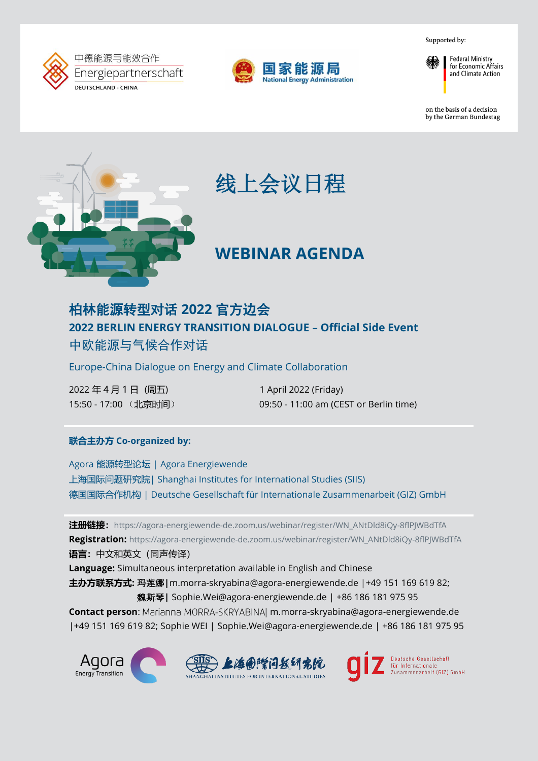Supported by:





**Federal Ministry** for Economic Affairs and Climate Action

on the basis of a decision by the German Bundestag



# 线上会议日程

## **WEBINAR AGENDA**

### 柏林能源转型对话 **2022** 官方边会 **2022 BERLIN ENERGY TRANSITION DIALOGUE – Official Side Event**  中欧能源与气候合作对话

Europe-China Dialogue on Energy and Climate Collaboration

2022 年 4 月 1 日 (周五) 1 april 2022 (Friday)

15:50 - 17:00 (北京时间) 09:50 - 11:00 am (CEST or Berlin time)

### **联合主办方 Co-organized by:**

Agora 能源转型论坛 | Agora Energiewende 上海国际问题研究院| Shanghai Institutes for International Studies (SIIS) 德国国际合作机构 | Deutsche Gesellschaft für Internationale Zusammenarbeit (GIZ) GmbH

**注册链接:**[https://agora-energiewende-de.zoom.us/webinar/register/WN\\_ANtDld8iQy-8flPJWBdTfA](https://agora-energiewende-de.zoom.us/webinar/register/WN_ANtDld8iQy-8flPJWBdTfA) **Registration:** [https://agora-energiewende-de.zoom.us/webinar/register/WN\\_ANtDld8iQy-8flPJWBdTfA](https://agora-energiewende-de.zoom.us/webinar/register/WN_ANtDld8iQy-8flPJWBdTfA) **语言:**中文和英文(同声传译)

**Language:** Simultaneous interpretation available in English and Chinese **主办方联系方式:** 玛莲娜**|**m.morra-skryabina@agora-energiewende.de |+49 151 169 619 82; 魏斯琴**|** Sophie.Wei@agora-energiewende.de | +86 186 181 975 95

Contact person: Marianna MORRA-SKRYABINA m.morra-skryabina@agora-energiewende.de |+49 151 169 619 82; Sophie WEI | Sophie.Wei@agora-energiewende.de | +86 186 181 975 95

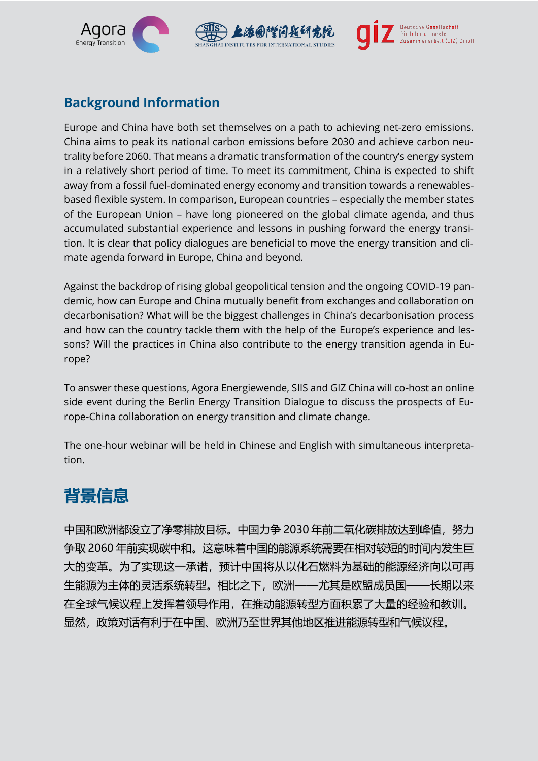

### **Background Information**

Europe and China have both set themselves on a path to achieving net-zero emissions. China aims to peak its national carbon emissions before 2030 and achieve carbon neutrality before 2060. That means a dramatic transformation of the country's energy system in a relatively short period of time. To meet its commitment, China is expected to shift away from a fossil fuel-dominated energy economy and transition towards a renewablesbased flexible system. In comparison, European countries – especially the member states of the European Union – have long pioneered on the global climate agenda, and thus accumulated substantial experience and lessons in pushing forward the energy transition. It is clear that policy dialogues are beneficial to move the energy transition and climate agenda forward in Europe, China and beyond.

Against the backdrop of rising global geopolitical tension and the ongoing COVID-19 pandemic, how can Europe and China mutually benefit from exchanges and collaboration on decarbonisation? What will be the biggest challenges in China's decarbonisation process and how can the country tackle them with the help of the Europe's experience and lessons? Will the practices in China also contribute to the energy transition agenda in Europe?

To answer these questions, Agora Energiewende, SIIS and GIZ China will co-host an online side event during the Berlin Energy Transition Dialogue to discuss the prospects of Europe-China collaboration on energy transition and climate change.

The one-hour webinar will be held in Chinese and English with simultaneous interpretation.

## **背景信息**

中国和欧洲都设立了净零排放目标。中国力争 2030 年前二氧化碳排放达到峰值, 努力 争取 2060 年前实现碳中和。这意味着中国的能源系统需要在相对较短的时间内发生巨 大的变革。为了实现这一承诺,预计中国将从以化石燃料为基础的能源经济向以可再 生能源为主体的灵活系统转型。相比之下,欧洲——尤其是欧盟成员国——长期以来 在全球气候议程上发挥着领导作用,在推动能源转型方面积累了大量的经验和教训。 显然,政策对话有利于在中国、欧洲乃至世界其他地区推进能源转型和气候议程。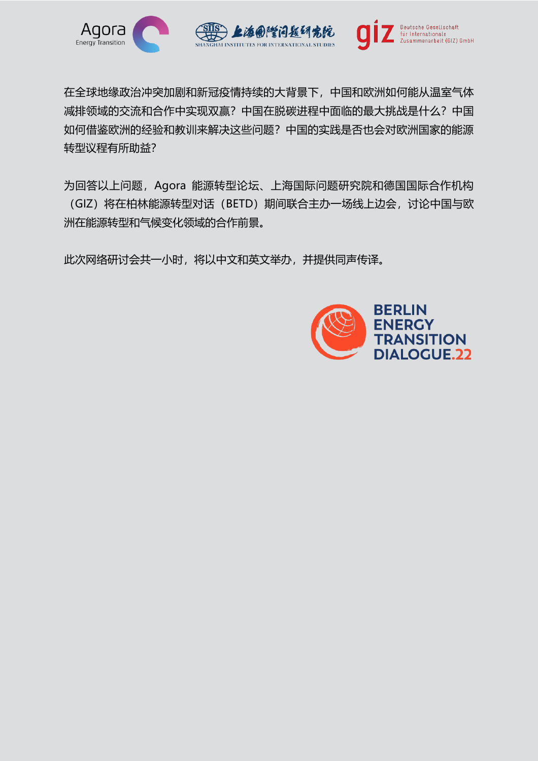

在全球地缘政治冲突加剧和新冠疫情持续的大背景下,中国和欧洲如何能从温室气体 减排领域的交流和合作中实现双赢?中国在脱碳进程中面临的最大挑战是什么?中国 如何借鉴欧洲的经验和教训来解决这些问题?中国的实践是否也会对欧洲国家的能源 转型议程有所助益?

为回答以上问题,Agora 能源转型论坛、上海国际问题研究院和德国国际合作机构 (GIZ)将在柏林能源转型对话(BETD)期间联合主办一场线上边会,讨论中国与欧 洲在能源转型和气候变化领域的合作前景。

此次网络研讨会共一小时,将以中文和英文举办,并提供同声传译。

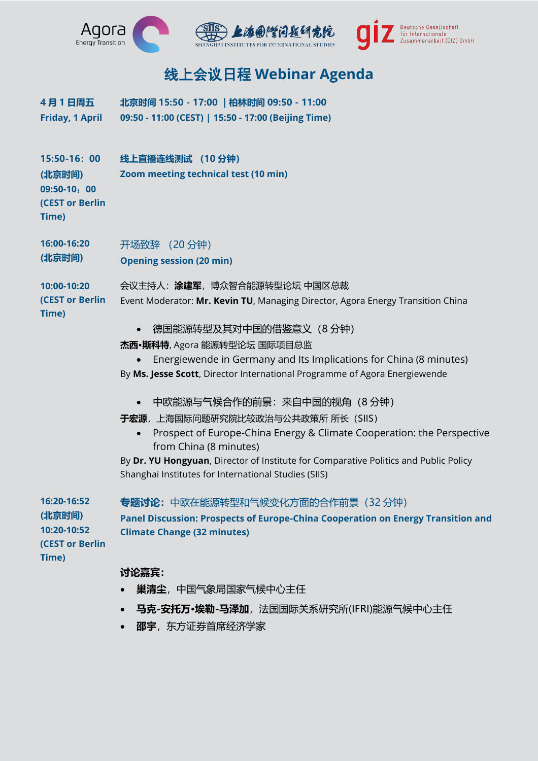

## 线上会议日程 **Webinar Agenda**

**4 月 1 日周五 Friday, 1 April 北京时间 15:50 - 17:00 | 柏林时间 09:50 - 11:00 09:50 - 11:00 (CEST) | 15:50 - 17:00 (Beijing Time)**

**15:50-16:00 (北京时间) 09:50-10**:**00 (CEST or Berlin Time) 线上直播连线测试 (10 分钟) Zoom meeting technical test (10 min) 16:00-16:20 (北京时间) 10:00-10:20 (CEST or Berlin Time)** 开场致辞 (20 分钟) **Opening session (20 min)** 会议主持人:**涂建军**,博众智合能源转型论坛 中国区总裁 Event Moderator: **Mr. Kevin TU**, Managing Director, Agora Energy Transition China • 德国能源转型及其对中国的借鉴意义(8 分钟) **杰西·斯科特**, Agora 能源转型论坛 国际项目总监 • Energiewende in Germany and Its Implications for China (8 minutes) By **Ms. Jesse Scott**, Director International Programme of Agora Energiewende • 中欧能源与气候合作的前景:来自中国的视角(8 分钟) **于宏源**,上海国际问题研究院比较政治与公共政策所 所长(SIIS)

- - Prospect of Europe-China Energy & Climate Cooperation: the Perspective from China (8 minutes)

By **Dr. YU Hongyuan**, Director of Institute for Comparative Politics and Public Policy Shanghai Institutes for International Studies (SIIS)

| 16:20-16:52            | <b>专题讨论:</b> 中欧在能源转型和气候变化方面的合作前景 (32 分钟)                                         |
|------------------------|----------------------------------------------------------------------------------|
| (北京时间)                 | Panel Discussion: Prospects of Europe-China Cooperation on Energy Transition and |
| 10:20-10:52            | <b>Climate Change (32 minutes)</b>                                               |
| <b>(CEST or Berlin</b> |                                                                                  |
| Time)                  |                                                                                  |
|                        | 讨论嘉宾:                                                                            |

- **巢清尘**,中国气象局国家气候中心主任
- **马克-安托万·埃勒-马泽加**,法国国际关系研究所(IFRI)能源气候中心主任
- **邵宇**, 东方证券首席经济学家